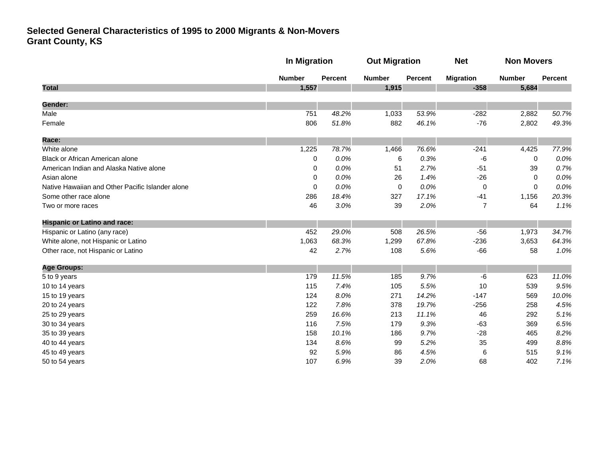|                                                  |               | <b>In Migration</b> |               | <b>Out Migration</b> |                  | <b>Non Movers</b> |         |
|--------------------------------------------------|---------------|---------------------|---------------|----------------------|------------------|-------------------|---------|
|                                                  | <b>Number</b> | <b>Percent</b>      | <b>Number</b> | <b>Percent</b>       | <b>Migration</b> | <b>Number</b>     | Percent |
| <b>Total</b>                                     | 1,557         |                     | 1,915         |                      | $-358$           | 5,684             |         |
| Gender:                                          |               |                     |               |                      |                  |                   |         |
| Male                                             | 751           | 48.2%               | 1,033         | 53.9%                | $-282$           | 2,882             | 50.7%   |
| Female                                           | 806           | 51.8%               | 882           | 46.1%                | $-76$            | 2,802             | 49.3%   |
| Race:                                            |               |                     |               |                      |                  |                   |         |
| White alone                                      | 1,225         | 78.7%               | 1,466         | 76.6%                | $-241$           | 4,425             | 77.9%   |
| Black or African American alone                  | 0             | 0.0%                | 6             | 0.3%                 | -6               | $\mathbf 0$       | 0.0%    |
| American Indian and Alaska Native alone          | 0             | 0.0%                | 51            | 2.7%                 | $-51$            | 39                | 0.7%    |
| Asian alone                                      | 0             | 0.0%                | 26            | 1.4%                 | $-26$            | $\mathbf{0}$      | 0.0%    |
| Native Hawaiian and Other Pacific Islander alone | $\mathbf 0$   | 0.0%                | 0             | 0.0%                 | 0                | $\mathbf{0}$      | 0.0%    |
| Some other race alone                            | 286           | 18.4%               | 327           | 17.1%                | $-41$            | 1,156             | 20.3%   |
| Two or more races                                | 46            | 3.0%                | 39            | 2.0%                 | $\overline{7}$   | 64                | 1.1%    |
| <b>Hispanic or Latino and race:</b>              |               |                     |               |                      |                  |                   |         |
| Hispanic or Latino (any race)                    | 452           | 29.0%               | 508           | 26.5%                | $-56$            | 1,973             | 34.7%   |
| White alone, not Hispanic or Latino              | 1,063         | 68.3%               | 1,299         | 67.8%                | $-236$           | 3,653             | 64.3%   |
| Other race, not Hispanic or Latino               | 42            | 2.7%                | 108           | 5.6%                 | $-66$            | 58                | 1.0%    |
| <b>Age Groups:</b>                               |               |                     |               |                      |                  |                   |         |
| 5 to 9 years                                     | 179           | 11.5%               | 185           | 9.7%                 | -6               | 623               | 11.0%   |
| 10 to 14 years                                   | 115           | 7.4%                | 105           | 5.5%                 | 10               | 539               | 9.5%    |
| 15 to 19 years                                   | 124           | 8.0%                | 271           | 14.2%                | $-147$           | 569               | 10.0%   |
| 20 to 24 years                                   | 122           | 7.8%                | 378           | 19.7%                | $-256$           | 258               | 4.5%    |
| 25 to 29 years                                   | 259           | 16.6%               | 213           | 11.1%                | 46               | 292               | 5.1%    |
| 30 to 34 years                                   | 116           | 7.5%                | 179           | 9.3%                 | $-63$            | 369               | 6.5%    |
| 35 to 39 years                                   | 158           | 10.1%               | 186           | 9.7%                 | $-28$            | 465               | 8.2%    |
| 40 to 44 years                                   | 134           | 8.6%                | 99            | 5.2%                 | 35               | 499               | 8.8%    |
| 45 to 49 years                                   | 92            | 5.9%                | 86            | 4.5%                 | 6                | 515               | 9.1%    |
| 50 to 54 years                                   | 107           | 6.9%                | 39            | 2.0%                 | 68               | 402               | 7.1%    |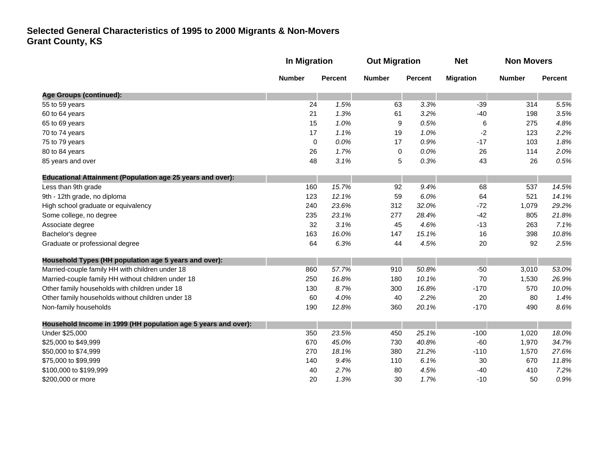|                                                                   | <b>In Migration</b> |                | <b>Out Migration</b> |                | <b>Net</b>       | <b>Non Movers</b> |         |
|-------------------------------------------------------------------|---------------------|----------------|----------------------|----------------|------------------|-------------------|---------|
|                                                                   | <b>Number</b>       | <b>Percent</b> | <b>Number</b>        | <b>Percent</b> | <b>Migration</b> | <b>Number</b>     | Percent |
| <b>Age Groups (continued):</b>                                    |                     |                |                      |                |                  |                   |         |
| 55 to 59 years                                                    | 24                  | 1.5%           | 63                   | 3.3%           | $-39$            | 314               | 5.5%    |
| 60 to 64 years                                                    | 21                  | 1.3%           | 61                   | 3.2%           | $-40$            | 198               | 3.5%    |
| 65 to 69 years                                                    | 15                  | 1.0%           | 9                    | 0.5%           | 6                | 275               | 4.8%    |
| 70 to 74 years                                                    | 17                  | 1.1%           | 19                   | 1.0%           | $-2$             | 123               | 2.2%    |
| 75 to 79 years                                                    | $\mathbf 0$         | 0.0%           | 17                   | 0.9%           | $-17$            | 103               | 1.8%    |
| 80 to 84 years                                                    | 26                  | 1.7%           | $\mathbf 0$          | 0.0%           | 26               | 114               | 2.0%    |
| 85 years and over                                                 | 48                  | 3.1%           | 5                    | 0.3%           | 43               | 26                | 0.5%    |
| <b>Educational Attainment (Population age 25 years and over):</b> |                     |                |                      |                |                  |                   |         |
| Less than 9th grade                                               | 160                 | 15.7%          | 92                   | 9.4%           | 68               | 537               | 14.5%   |
| 9th - 12th grade, no diploma                                      | 123                 | 12.1%          | 59                   | 6.0%           | 64               | 521               | 14.1%   |
| High school graduate or equivalency                               | 240                 | 23.6%          | 312                  | 32.0%          | $-72$            | 1,079             | 29.2%   |
| Some college, no degree                                           | 235                 | 23.1%          | 277                  | 28.4%          | $-42$            | 805               | 21.8%   |
| Associate degree                                                  | 32                  | 3.1%           | 45                   | 4.6%           | $-13$            | 263               | 7.1%    |
| Bachelor's degree                                                 | 163                 | 16.0%          | 147                  | 15.1%          | 16               | 398               | 10.8%   |
| Graduate or professional degree                                   | 64                  | 6.3%           | 44                   | 4.5%           | 20               | 92                | 2.5%    |
| Household Types (HH population age 5 years and over):             |                     |                |                      |                |                  |                   |         |
| Married-couple family HH with children under 18                   | 860                 | 57.7%          | 910                  | 50.8%          | $-50$            | 3,010             | 53.0%   |
| Married-couple family HH without children under 18                | 250                 | 16.8%          | 180                  | 10.1%          | 70               | 1,530             | 26.9%   |
| Other family households with children under 18                    | 130                 | 8.7%           | 300                  | 16.8%          | $-170$           | 570               | 10.0%   |
| Other family households without children under 18                 | 60                  | 4.0%           | 40                   | 2.2%           | 20               | 80                | 1.4%    |
| Non-family households                                             | 190                 | 12.8%          | 360                  | 20.1%          | $-170$           | 490               | 8.6%    |
| Household Income in 1999 (HH population age 5 years and over):    |                     |                |                      |                |                  |                   |         |
| Under \$25,000                                                    | 350                 | 23.5%          | 450                  | 25.1%          | $-100$           | 1,020             | 18.0%   |
| \$25,000 to \$49,999                                              | 670                 | 45.0%          | 730                  | 40.8%          | $-60$            | 1,970             | 34.7%   |
| \$50,000 to \$74,999                                              | 270                 | 18.1%          | 380                  | 21.2%          | $-110$           | 1,570             | 27.6%   |
| \$75,000 to \$99,999                                              | 140                 | 9.4%           | 110                  | 6.1%           | 30               | 670               | 11.8%   |
| \$100,000 to \$199,999                                            | 40                  | 2.7%           | 80                   | 4.5%           | $-40$            | 410               | 7.2%    |
| \$200,000 or more                                                 | 20                  | 1.3%           | 30                   | 1.7%           | $-10$            | 50                | 0.9%    |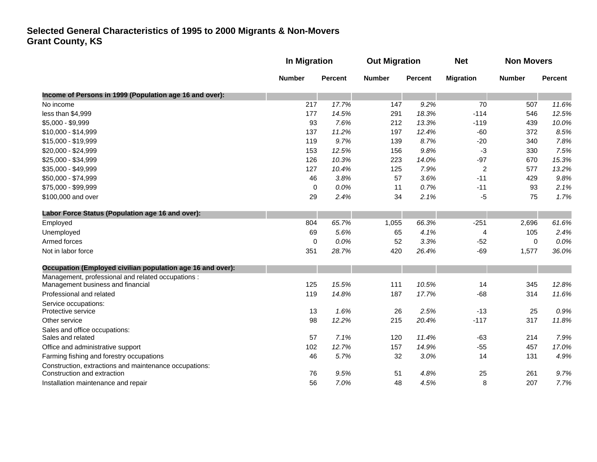|                                                                                       | In Migration  |                | <b>Out Migration</b> |                | <b>Net</b>       | <b>Non Movers</b> |         |
|---------------------------------------------------------------------------------------|---------------|----------------|----------------------|----------------|------------------|-------------------|---------|
|                                                                                       | <b>Number</b> | <b>Percent</b> | <b>Number</b>        | <b>Percent</b> | <b>Migration</b> | <b>Number</b>     | Percent |
| Income of Persons in 1999 (Population age 16 and over):                               |               |                |                      |                |                  |                   |         |
| No income                                                                             | 217           | 17.7%          | 147                  | 9.2%           | 70               | 507               | 11.6%   |
| less than \$4,999                                                                     | 177           | 14.5%          | 291                  | 18.3%          | $-114$           | 546               | 12.5%   |
| \$5,000 - \$9,999                                                                     | 93            | 7.6%           | 212                  | 13.3%          | $-119$           | 439               | 10.0%   |
| \$10,000 - \$14,999                                                                   | 137           | 11.2%          | 197                  | 12.4%          | $-60$            | 372               | 8.5%    |
| \$15,000 - \$19,999                                                                   | 119           | 9.7%           | 139                  | 8.7%           | $-20$            | 340               | 7.8%    |
| \$20,000 - \$24,999                                                                   | 153           | 12.5%          | 156                  | 9.8%           | -3               | 330               | 7.5%    |
| \$25,000 - \$34,999                                                                   | 126           | 10.3%          | 223                  | 14.0%          | $-97$            | 670               | 15.3%   |
| \$35,000 - \$49,999                                                                   | 127           | 10.4%          | 125                  | 7.9%           | $\overline{c}$   | 577               | 13.2%   |
| \$50,000 - \$74,999                                                                   | 46            | 3.8%           | 57                   | 3.6%           | $-11$            | 429               | 9.8%    |
| \$75,000 - \$99,999                                                                   | $\mathbf 0$   | 0.0%           | 11                   | 0.7%           | $-11$            | 93                | 2.1%    |
| \$100,000 and over                                                                    | 29            | 2.4%           | 34                   | 2.1%           | -5               | 75                | 1.7%    |
| Labor Force Status (Population age 16 and over):                                      |               |                |                      |                |                  |                   |         |
| Employed                                                                              | 804           | 65.7%          | 1,055                | 66.3%          | $-251$           | 2,696             | 61.6%   |
| Unemployed                                                                            | 69            | 5.6%           | 65                   | 4.1%           | 4                | 105               | 2.4%    |
| Armed forces                                                                          | $\mathbf 0$   | 0.0%           | 52                   | 3.3%           | $-52$            | $\mathbf 0$       | 0.0%    |
| Not in labor force                                                                    | 351           | 28.7%          | 420                  | 26.4%          | $-69$            | 1,577             | 36.0%   |
| Occupation (Employed civilian population age 16 and over):                            |               |                |                      |                |                  |                   |         |
| Management, professional and related occupations :                                    |               |                |                      |                |                  |                   |         |
| Management business and financial                                                     | 125           | 15.5%          | 111                  | 10.5%          | 14               | 345               | 12.8%   |
| Professional and related                                                              | 119           | 14.8%          | 187                  | 17.7%          | $-68$            | 314               | 11.6%   |
| Service occupations:                                                                  |               |                |                      |                |                  |                   |         |
| Protective service                                                                    | 13            | 1.6%           | 26                   | 2.5%           | $-13$            | 25                | 0.9%    |
| Other service                                                                         | 98            | 12.2%          | 215                  | 20.4%          | $-117$           | 317               | 11.8%   |
| Sales and office occupations:<br>Sales and related                                    | 57            | 7.1%           | 120                  | 11.4%          | $-63$            | 214               | 7.9%    |
| Office and administrative support                                                     | 102           | 12.7%          | 157                  | 14.9%          | $-55$            | 457               | 17.0%   |
| Farming fishing and forestry occupations                                              | 46            | 5.7%           | 32                   | 3.0%           | 14               | 131               | 4.9%    |
|                                                                                       |               |                |                      |                |                  |                   |         |
| Construction, extractions and maintenance occupations:<br>Construction and extraction | 76            | 9.5%           | 51                   | 4.8%           | 25               | 261               | 9.7%    |
| Installation maintenance and repair                                                   | 56            | 7.0%           | 48                   | 4.5%           | 8                | 207               | 7.7%    |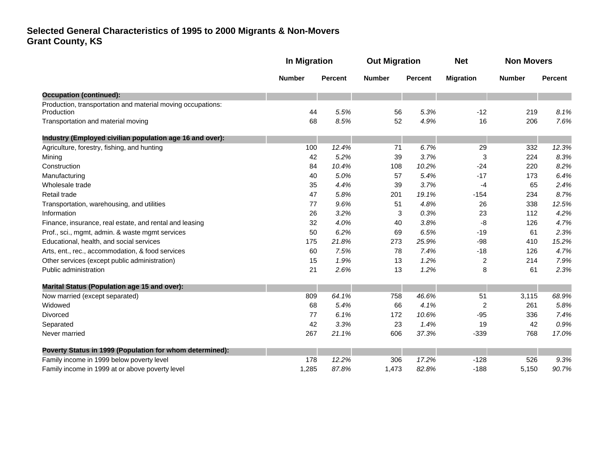|                                                                           | <b>In Migration</b> |                | <b>Out Migration</b> |                | <b>Net</b>              | <b>Non Movers</b> |                |
|---------------------------------------------------------------------------|---------------------|----------------|----------------------|----------------|-------------------------|-------------------|----------------|
|                                                                           | <b>Number</b>       | <b>Percent</b> | <b>Number</b>        | <b>Percent</b> | <b>Migration</b>        | <b>Number</b>     | <b>Percent</b> |
| <b>Occupation (continued):</b>                                            |                     |                |                      |                |                         |                   |                |
| Production, transportation and material moving occupations:<br>Production | 44                  | 5.5%           | 56                   | 5.3%           | $-12$                   | 219               | 8.1%           |
| Transportation and material moving                                        | 68                  | 8.5%           | 52                   | 4.9%           | 16                      | 206               | 7.6%           |
| Industry (Employed civilian population age 16 and over):                  |                     |                |                      |                |                         |                   |                |
| Agriculture, forestry, fishing, and hunting                               | 100                 | 12.4%          | 71                   | 6.7%           | 29                      | 332               | 12.3%          |
| Mining                                                                    | 42                  | 5.2%           | 39                   | 3.7%           | 3                       | 224               | 8.3%           |
| Construction                                                              | 84                  | 10.4%          | 108                  | 10.2%          | $-24$                   | 220               | 8.2%           |
| Manufacturing                                                             | 40                  | 5.0%           | 57                   | 5.4%           | $-17$                   | 173               | 6.4%           |
| Wholesale trade                                                           | 35                  | 4.4%           | 39                   | 3.7%           | $-4$                    | 65                | 2.4%           |
| Retail trade                                                              | 47                  | 5.8%           | 201                  | 19.1%          | $-154$                  | 234               | 8.7%           |
| Transportation, warehousing, and utilities                                | 77                  | 9.6%           | 51                   | 4.8%           | 26                      | 338               | 12.5%          |
| Information                                                               | 26                  | 3.2%           | 3                    | 0.3%           | 23                      | 112               | 4.2%           |
| Finance, insurance, real estate, and rental and leasing                   | 32                  | 4.0%           | 40                   | 3.8%           | -8                      | 126               | 4.7%           |
| Prof., sci., mgmt, admin. & waste mgmt services                           | 50                  | 6.2%           | 69                   | 6.5%           | $-19$                   | 61                | 2.3%           |
| Educational, health, and social services                                  | 175                 | 21.8%          | 273                  | 25.9%          | $-98$                   | 410               | 15.2%          |
| Arts, ent., rec., accommodation, & food services                          | 60                  | 7.5%           | 78                   | 7.4%           | $-18$                   | 126               | 4.7%           |
| Other services (except public administration)                             | 15                  | 1.9%           | 13                   | 1.2%           | $\overline{\mathbf{c}}$ | 214               | 7.9%           |
| Public administration                                                     | 21                  | 2.6%           | 13                   | 1.2%           | 8                       | 61                | 2.3%           |
| <b>Marital Status (Population age 15 and over):</b>                       |                     |                |                      |                |                         |                   |                |
| Now married (except separated)                                            | 809                 | 64.1%          | 758                  | 46.6%          | 51                      | 3,115             | 68.9%          |
| Widowed                                                                   | 68                  | 5.4%           | 66                   | 4.1%           | 2                       | 261               | 5.8%           |
| <b>Divorced</b>                                                           | 77                  | 6.1%           | 172                  | 10.6%          | $-95$                   | 336               | 7.4%           |
| Separated                                                                 | 42                  | 3.3%           | 23                   | 1.4%           | 19                      | 42                | 0.9%           |
| Never married                                                             | 267                 | 21.1%          | 606                  | 37.3%          | $-339$                  | 768               | 17.0%          |
| Poverty Status in 1999 (Population for whom determined):                  |                     |                |                      |                |                         |                   |                |
| Family income in 1999 below poverty level                                 | 178                 | 12.2%          | 306                  | 17.2%          | $-128$                  | 526               | 9.3%           |
| Family income in 1999 at or above poverty level                           | 1,285               | 87.8%          | 1,473                | 82.8%          | $-188$                  | 5,150             | 90.7%          |